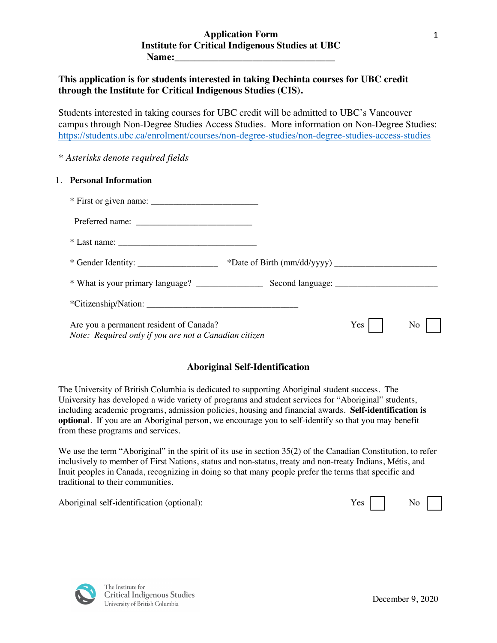# **This application is for students interested in taking Dechinta courses for UBC credit through the Institute for Critical Indigenous Studies (CIS).**

Students interested in taking courses for UBC credit will be admitted to UBC's Vancouver campus through Non-Degree Studies Access Studies. More information on Non-Degree Studies: https://students.ubc.ca/enrolment/courses/non-degree-studies/non-degree-studies-access-studies

*\* Asterisks denote required fields*

## 1. **Personal Information**

| $*$ Last name: $\frac{1}{1}$                                                                     |     |    |
|--------------------------------------------------------------------------------------------------|-----|----|
|                                                                                                  |     |    |
|                                                                                                  |     |    |
|                                                                                                  |     |    |
| Are you a permanent resident of Canada?<br>Note: Required only if you are not a Canadian citizen | Yes | No |

# **Aboriginal Self-Identification**

The University of British Columbia is dedicated to supporting Aboriginal student success. The University has developed a wide variety of programs and student services for "Aboriginal" students, including academic programs, admission policies, housing and financial awards. **Self-identification is optional**. If you are an Aboriginal person, we encourage you to self-identify so that you may benefit from these programs and services.

We use the term "Aboriginal" in the spirit of its use in section 35(2) of the Canadian Constitution, to refer inclusively to member of First Nations, status and non-status, treaty and non-treaty Indians, Métis, and Inuit peoples in Canada, recognizing in doing so that many people prefer the terms that specific and traditional to their communities.

Aboriginal self-identification (optional): Yes No



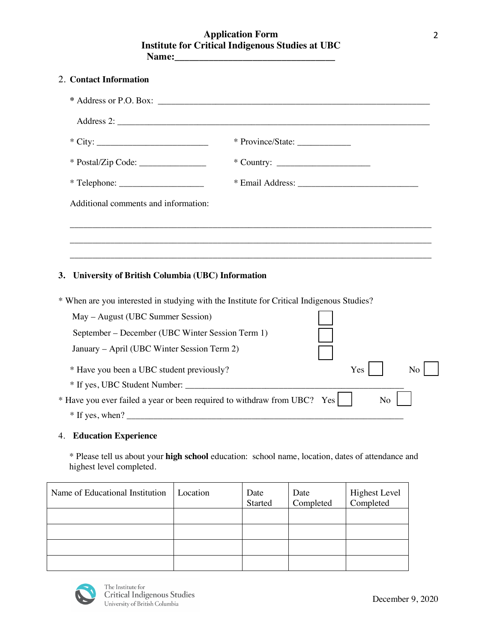# **Application Form Institute for Critical Indigenous Studies at UBC Name:\_\_\_\_\_\_\_\_\_\_\_\_\_\_\_\_\_\_\_\_\_\_\_\_\_\_\_\_\_\_\_\_\_**

| 2. Contact Information                                                                                                        |          |                 |                                 |                                   |    |
|-------------------------------------------------------------------------------------------------------------------------------|----------|-----------------|---------------------------------|-----------------------------------|----|
|                                                                                                                               |          |                 |                                 |                                   |    |
| Address 2:                                                                                                                    |          |                 |                                 |                                   |    |
|                                                                                                                               |          |                 | * Province/State: _____________ |                                   |    |
| * Postal/Zip Code: __________________                                                                                         |          |                 |                                 |                                   |    |
|                                                                                                                               |          |                 |                                 |                                   |    |
| Additional comments and information:                                                                                          |          |                 |                                 |                                   |    |
|                                                                                                                               |          |                 |                                 |                                   |    |
|                                                                                                                               |          |                 |                                 |                                   |    |
|                                                                                                                               |          |                 |                                 |                                   |    |
| University of British Columbia (UBC) Information<br>3.                                                                        |          |                 |                                 |                                   |    |
| * When are you interested in studying with the Institute for Critical Indigenous Studies?                                     |          |                 |                                 |                                   |    |
| May – August (UBC Summer Session)                                                                                             |          |                 |                                 |                                   |    |
| September – December (UBC Winter Session Term 1)                                                                              |          |                 |                                 |                                   |    |
| January - April (UBC Winter Session Term 2)                                                                                   |          |                 |                                 |                                   |    |
| * Have you been a UBC student previously?                                                                                     |          |                 |                                 | Yes                               | No |
|                                                                                                                               |          |                 |                                 |                                   |    |
| * Have you ever failed a year or been required to withdraw from UBC? Yes                                                      |          |                 |                                 | N <sub>o</sub>                    |    |
|                                                                                                                               |          |                 |                                 |                                   |    |
| <b>4. Education Experience</b>                                                                                                |          |                 |                                 |                                   |    |
| * Please tell us about your high school education: school name, location, dates of attendance and<br>highest level completed. |          |                 |                                 |                                   |    |
| Name of Educational Institution                                                                                               | Location | Date<br>Started | Date<br>Completed               | <b>Highest Level</b><br>Completed |    |
|                                                                                                                               |          |                 |                                 |                                   |    |
|                                                                                                                               |          |                 |                                 |                                   |    |
|                                                                                                                               |          |                 |                                 |                                   |    |



The Institute for<br>Critical Indigenous Studies<br>University of British Columbia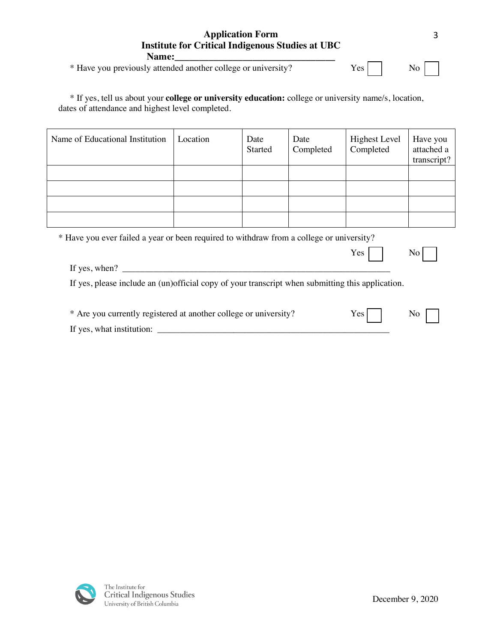| <b>Institute for Critical Indigenous Studies at UBC</b>                                                                                                          |          |                        |                   |                                   |                                       |
|------------------------------------------------------------------------------------------------------------------------------------------------------------------|----------|------------------------|-------------------|-----------------------------------|---------------------------------------|
| Name:<br>* Have you previously attended another college or university?                                                                                           |          |                        |                   | Yes                               | No.                                   |
| * If yes, tell us about your <b>college or university education:</b> college or university name/s, location,<br>dates of attendance and highest level completed. |          |                        |                   |                                   |                                       |
| Name of Educational Institution                                                                                                                                  | Location | Date<br><b>Started</b> | Date<br>Completed | <b>Highest Level</b><br>Completed | Have you<br>attached a<br>transcript? |
|                                                                                                                                                                  |          |                        |                   |                                   |                                       |

| * Have you ever failed a year or been required to withdraw from a college or university?         |  |  |  |      |     |
|--------------------------------------------------------------------------------------------------|--|--|--|------|-----|
|                                                                                                  |  |  |  | Yes  |     |
| If yes, when? $\qquad \qquad$                                                                    |  |  |  |      |     |
| If yes, please include an (un)official copy of your transcript when submitting this application. |  |  |  |      |     |
|                                                                                                  |  |  |  |      |     |
| * Are you currently registered at another college or university?                                 |  |  |  | Yes. | No. |
| If yes, what institution:                                                                        |  |  |  |      |     |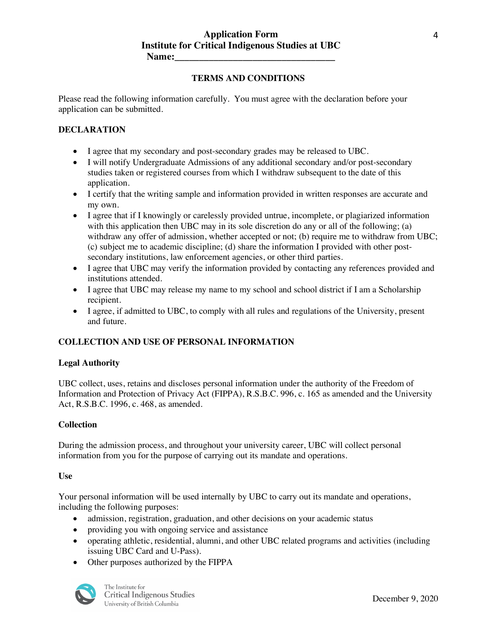#### **TERMS AND CONDITIONS**

Please read the following information carefully. You must agree with the declaration before your application can be submitted.

### **DECLARATION**

- I agree that my secondary and post-secondary grades may be released to UBC.
- I will notify Undergraduate Admissions of any additional secondary and/or post-secondary studies taken or registered courses from which I withdraw subsequent to the date of this application.
- I certify that the writing sample and information provided in written responses are accurate and my own.
- I agree that if I knowingly or carelessly provided untrue, incomplete, or plagiarized information with this application then UBC may in its sole discretion do any or all of the following; (a) withdraw any offer of admission, whether accepted or not; (b) require me to withdraw from UBC; (c) subject me to academic discipline; (d) share the information I provided with other postsecondary institutions, law enforcement agencies, or other third parties.
- I agree that UBC may verify the information provided by contacting any references provided and institutions attended.
- I agree that UBC may release my name to my school and school district if I am a Scholarship recipient.
- I agree, if admitted to UBC, to comply with all rules and regulations of the University, present and future.

## **COLLECTION AND USE OF PERSONAL INFORMATION**

#### **Legal Authority**

UBC collect, uses, retains and discloses personal information under the authority of the Freedom of Information and Protection of Privacy Act (FIPPA), R.S.B.C. 996, c. 165 as amended and the University Act, R.S.B.C. 1996, c. 468, as amended.

#### **Collection**

During the admission process, and throughout your university career, UBC will collect personal information from you for the purpose of carrying out its mandate and operations.

#### **Use**

Your personal information will be used internally by UBC to carry out its mandate and operations, including the following purposes:

- admission, registration, graduation, and other decisions on your academic status
- providing you with ongoing service and assistance
- operating athletic, residential, alumni, and other UBC related programs and activities (including issuing UBC Card and U-Pass).
- Other purposes authorized by the FIPPA



The Institute for **Critical Indigenous Studies** University of British Columbia